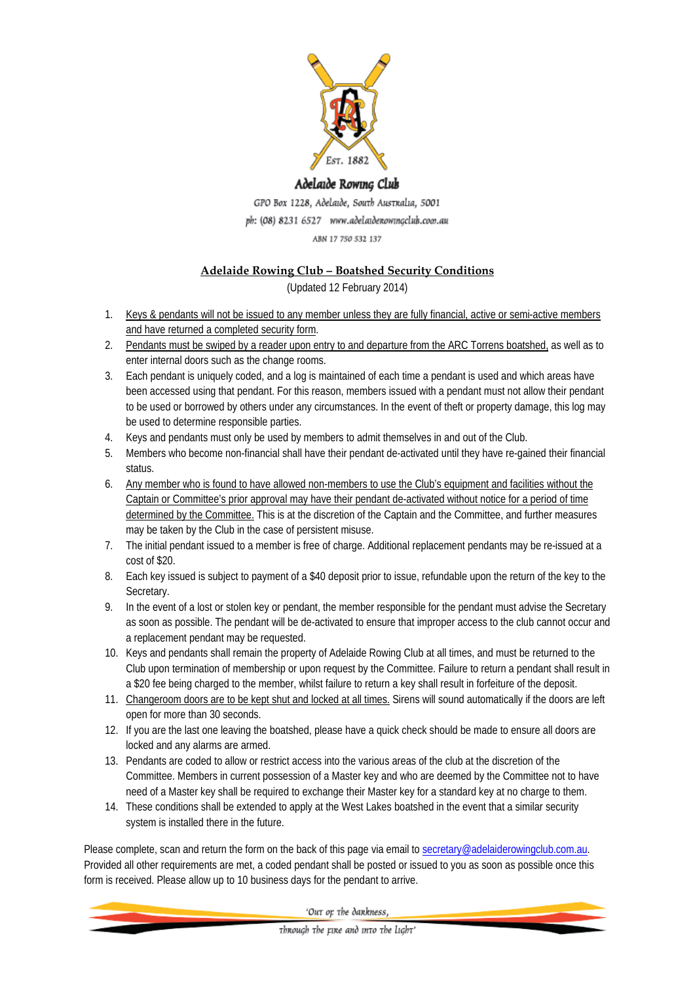

#### Adelaide Rowing Club

GPO Box 1228, Adelaide, South Australia, 5001 ph: (08) 8231 6527 www.adelaidenowingclub.com.au ABN 17 750 532 137

## **Adelaide Rowing Club – Boatshed Security Conditions**

(Updated 12 February 2014)

- 1. Keys & pendants will not be issued to any member unless they are fully financial, active or semi-active members and have returned a completed security form.
- 2. Pendants must be swiped by a reader upon entry to and departure from the ARC Torrens boatshed, as well as to enter internal doors such as the change rooms.
- 3. Each pendant is uniquely coded, and a log is maintained of each time a pendant is used and which areas have been accessed using that pendant. For this reason, members issued with a pendant must not allow their pendant to be used or borrowed by others under any circumstances. In the event of theft or property damage, this log may be used to determine responsible parties.
- 4. Keys and pendants must only be used by members to admit themselves in and out of the Club.
- 5. Members who become non-financial shall have their pendant de-activated until they have re-gained their financial status.
- 6. Any member who is found to have allowed non-members to use the Club's equipment and facilities without the Captain or Committee's prior approval may have their pendant de-activated without notice for a period of time determined by the Committee. This is at the discretion of the Captain and the Committee, and further measures may be taken by the Club in the case of persistent misuse.
- 7. The initial pendant issued to a member is free of charge. Additional replacement pendants may be re-issued at a cost of \$20.
- 8. Each key issued is subject to payment of a \$40 deposit prior to issue, refundable upon the return of the key to the Secretary.
- 9. In the event of a lost or stolen key or pendant, the member responsible for the pendant must advise the Secretary as soon as possible. The pendant will be de-activated to ensure that improper access to the club cannot occur and a replacement pendant may be requested.
- 10. Keys and pendants shall remain the property of Adelaide Rowing Club at all times, and must be returned to the Club upon termination of membership or upon request by the Committee. Failure to return a pendant shall result in a \$20 fee being charged to the member, whilst failure to return a key shall result in forfeiture of the deposit.
- 11. Changeroom doors are to be kept shut and locked at all times. Sirens will sound automatically if the doors are left open for more than 30 seconds.
- 12. If you are the last one leaving the boatshed, please have a quick check should be made to ensure all doors are locked and any alarms are armed.
- 13. Pendants are coded to allow or restrict access into the various areas of the club at the discretion of the Committee. Members in current possession of a Master key and who are deemed by the Committee not to have need of a Master key shall be required to exchange their Master key for a standard key at no charge to them.
- 14. These conditions shall be extended to apply at the West Lakes boatshed in the event that a similar security system is installed there in the future.

Please complete, scan and return the form on the back of this page via email to secretary@adelaiderowingclub.com.au. Provided all other requirements are met, a coded pendant shall be posted or issued to you as soon as possible once this form is received. Please allow up to 10 business days for the pendant to arrive.

'Out or the dankness,

through the rine and into the light'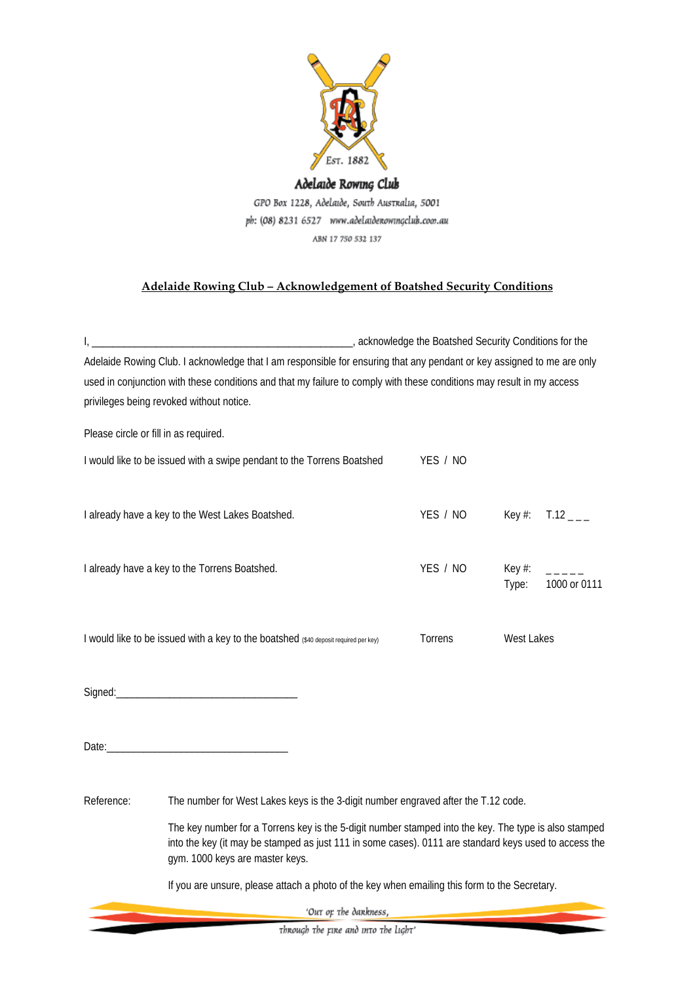

Adelaide Rowing Club GPO Box 1228, Adelaide, South Australia, 5001 ph: (08) 8231 6527 www.adelaidenowingclub.com.au ABN 17 750 532 137

## **Adelaide Rowing Club – Acknowledgement of Boatshed Security Conditions**

|                                                                                      | Adelaide Rowing Club. I acknowledge that I am responsible for ensuring that any pendant or key assigned to me are only<br>used in conjunction with these conditions and that my failure to comply with these conditions may result in my access<br>privileges being revoked without notice.          |          |                    |                          |
|--------------------------------------------------------------------------------------|------------------------------------------------------------------------------------------------------------------------------------------------------------------------------------------------------------------------------------------------------------------------------------------------------|----------|--------------------|--------------------------|
| Please circle or fill in as required.                                                |                                                                                                                                                                                                                                                                                                      |          |                    |                          |
| I would like to be issued with a swipe pendant to the Torrens Boatshed               |                                                                                                                                                                                                                                                                                                      | YES / NO |                    |                          |
| I already have a key to the West Lakes Boatshed.                                     |                                                                                                                                                                                                                                                                                                      | YES / NO | Key $#$ :          | $T.12$ <sub>---</sub>    |
| I already have a key to the Torrens Boatshed.                                        |                                                                                                                                                                                                                                                                                                      | YES / NO | Key $#$ :<br>Type: | كالمساعي<br>1000 or 0111 |
| I would like to be issued with a key to the boatshed (\$40 deposit required per key) |                                                                                                                                                                                                                                                                                                      | Torrens  | <b>West Lakes</b>  |                          |
|                                                                                      |                                                                                                                                                                                                                                                                                                      |          |                    |                          |
|                                                                                      | Date: the contract of the contract of the contract of the contract of the contract of the contract of the contract of the contract of the contract of the contract of the contract of the contract of the contract of the cont                                                                       |          |                    |                          |
| Reference:                                                                           | The number for West Lakes keys is the 3-digit number engraved after the T.12 code.<br>The key number for a Torrens key is the 5-digit number stamped into the key. The type is also stamped<br>into the key (it may be stamped as just 111 in some cases). 0111 are standard keys used to access the |          |                    |                          |
|                                                                                      | gym. 1000 keys are master keys.                                                                                                                                                                                                                                                                      |          |                    |                          |
|                                                                                      | If you are unsure, please attach a photo of the key when emailing this form to the Secretary.                                                                                                                                                                                                        |          |                    |                          |
|                                                                                      | 'Out op the dankness,                                                                                                                                                                                                                                                                                |          |                    |                          |
| Through the rire and into the light'                                                 |                                                                                                                                                                                                                                                                                                      |          |                    |                          |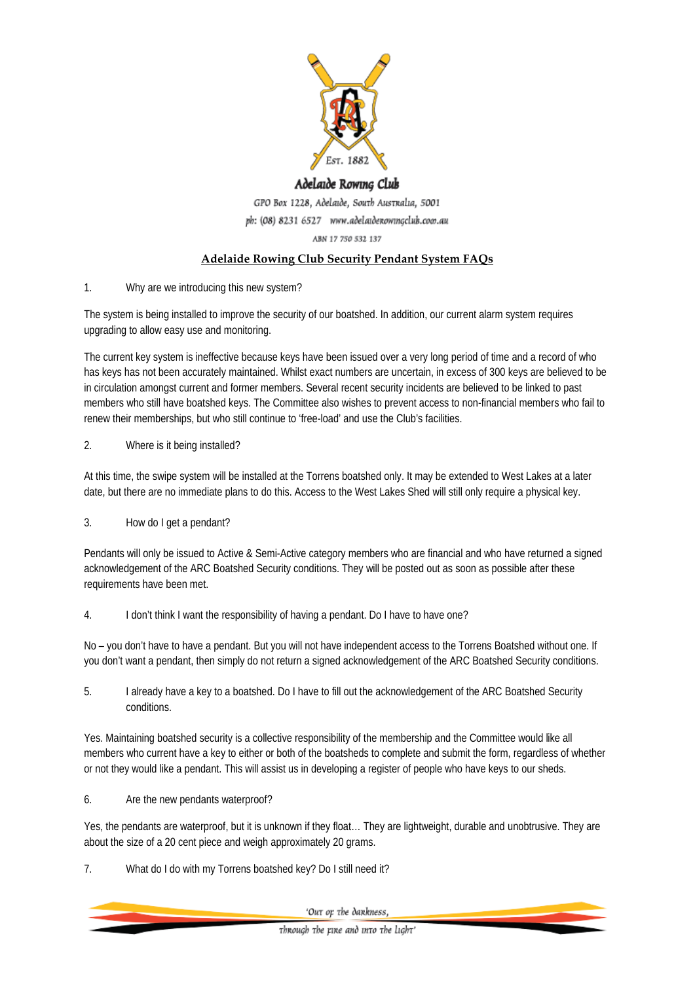

# Adelaide Rowing Club

GPO Box 1228, Adelaide, South Australia, 5001 ph: (08) 8231 6527 www.adelaidenowingclub.com.au ABN 17 750 532 137

### **Adelaide Rowing Club Security Pendant System FAQs**

1. Why are we introducing this new system?

The system is being installed to improve the security of our boatshed. In addition, our current alarm system requires upgrading to allow easy use and monitoring.

The current key system is ineffective because keys have been issued over a very long period of time and a record of who has keys has not been accurately maintained. Whilst exact numbers are uncertain, in excess of 300 keys are believed to be in circulation amongst current and former members. Several recent security incidents are believed to be linked to past members who still have boatshed keys. The Committee also wishes to prevent access to non-financial members who fail to renew their memberships, but who still continue to 'free-load' and use the Club's facilities.

#### 2. Where is it being installed?

At this time, the swipe system will be installed at the Torrens boatshed only. It may be extended to West Lakes at a later date, but there are no immediate plans to do this. Access to the West Lakes Shed will still only require a physical key.

3. How do I get a pendant?

Pendants will only be issued to Active & Semi-Active category members who are financial and who have returned a signed acknowledgement of the ARC Boatshed Security conditions. They will be posted out as soon as possible after these requirements have been met.

4. I don't think I want the responsibility of having a pendant. Do I have to have one?

No – you don't have to have a pendant. But you will not have independent access to the Torrens Boatshed without one. If you don't want a pendant, then simply do not return a signed acknowledgement of the ARC Boatshed Security conditions.

5. I already have a key to a boatshed. Do I have to fill out the acknowledgement of the ARC Boatshed Security conditions.

Yes. Maintaining boatshed security is a collective responsibility of the membership and the Committee would like all members who current have a key to either or both of the boatsheds to complete and submit the form, regardless of whether or not they would like a pendant. This will assist us in developing a register of people who have keys to our sheds.

6. Are the new pendants waterproof?

Yes, the pendants are waterproof, but it is unknown if they float… They are lightweight, durable and unobtrusive. They are about the size of a 20 cent piece and weigh approximately 20 grams.

7. What do I do with my Torrens boatshed key? Do I still need it?

'Out op the dankness,